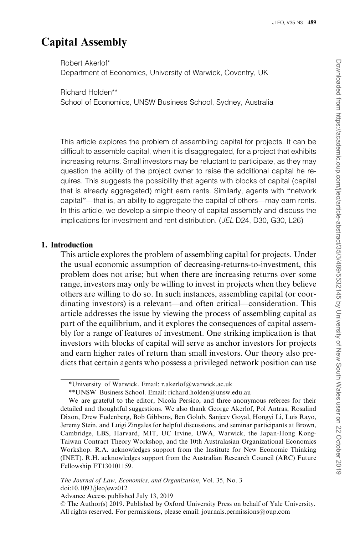# Capital Assembly

Robert Akerlof\* Department of Economics, University of Warwick, Coventry, UK

Richard Holden\*\* School of Economics, UNSW Business School, Sydney, Australia

This article explores the problem of assembling capital for projects. It can be difficult to assemble capital, when it is disaggregated, for a project that exhibits increasing returns. Small investors may be reluctant to participate, as they may question the ability of the project owner to raise the additional capital he requires. This suggests the possibility that agents with blocks of capital (capital that is already aggregated) might earn rents. Similarly, agents with "network capital"—that is, an ability to aggregate the capital of others—may earn rents. In this article, we develop a simple theory of capital assembly and discuss the implications for investment and rent distribution. (JEL D24, D30, G30, L26)

## 1. Introduction

This article explores the problem of assembling capital for projects. Under the usual economic assumption of decreasing-returns-to-investment, this problem does not arise; but when there are increasing returns over some range, investors may only be willing to invest in projects when they believe others are willing to do so. In such instances, assembling capital (or coordinating investors) is a relevant—and often critical—consideration. This article addresses the issue by viewing the process of assembling capital as part of the equilibrium, and it explores the consequences of capital assembly for a range of features of investment. One striking implication is that investors with blocks of capital will serve as anchor investors for projects and earn higher rates of return than small investors. Our theory also predicts that certain agents who possess a privileged network position can use

<sup>\*</sup>University of Warwick. Email: r.akerlof@warwick.ac.uk

<sup>\*\*</sup>UNSW Business School. Email: richard.holden@unsw.edu.au

We are grateful to the editor, Nicola Persico, and three anonymous referees for their detailed and thoughtful suggestions. We also thank George Akerlof, Pol Antras, Rosalind Dixon, Drew Fudenberg, Bob Gibbons, Ben Golub, Sanjeev Goyal, Hongyi Li, Luis Rayo, Jeremy Stein, and Luigi Zingales for helpful discussions, and seminar participants at Brown, Cambridge, LBS, Harvard, MIT, UC Irvine, UWA, Warwick, the Japan-Hong Kong-Taiwan Contract Theory Workshop, and the 10th Australasian Organizational Economics Workshop. R.A. acknowledges support from the Institute for New Economic Thinking (INET). R.H. acknowledges support from the Australian Research Council (ARC) Future Fellowship FT130101159.

The Journal of Law, Economics, and Organization, Vol. 35, No. 3 doi:10.1093/jleo/ewz012

Advance Access published July 13, 2019

<sup>©</sup> The Author(s) 2019. Published by Oxford University Press on behalf of Yale University. All rights reserved. For permissions, please email: journals.permissions@oup.com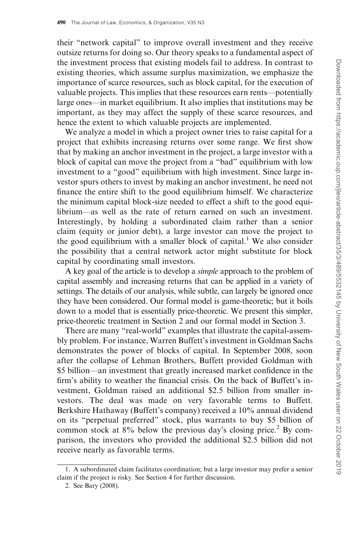their "network capital" to improve overall investment and they receive outsize returns for doing so. Our theory speaks to a fundamental aspect of the investment process that existing models fail to address. In contrast to existing theories, which assume surplus maximization, we emphasize the importance of scarce resources, such as block capital, for the execution of valuable projects. This implies that these resources earn rents—potentially large ones—in market equilibrium. It also implies that institutions may be important, as they may affect the supply of these scarce resources, and hence the extent to which valuable projects are implemented.

We analyze a model in which a project owner tries to raise capital for a project that exhibits increasing returns over some range. We first show that by making an anchor investment in the project, a large investor with a block of capital can move the project from a "bad" equilibrium with low investment to a "good" equilibrium with high investment. Since large investor spurs others to invest by making an anchor investment, he need not finance the entire shift to the good equilibrium himself. We characterize the minimum capital block-size needed to effect a shift to the good equilibrium—as well as the rate of return earned on such an investment. Interestingly, by holding a subordinated claim rather than a senior claim (equity or junior debt), a large investor can move the project to the good equilibrium with a smaller block of capital.<sup>1</sup> We also consider the possibility that a central network actor might substitute for block capital by coordinating small investors.

A key goal of the article is to develop a simple approach to the problem of capital assembly and increasing returns that can be applied in a variety of settings. The details of our analysis, while subtle, can largely be ignored once they have been considered. Our formal model is game-theoretic; but it boils down to a model that is essentially price-theoretic. We present this simpler, price-theoretic treatment in Section 2 and our formal model in Section 3.

There are many "real-world" examples that illustrate the capital-assembly problem. For instance, Warren Buffett's investment in Goldman Sachs demonstrates the power of blocks of capital. In September 2008, soon after the collapse of Lehman Brothers, Buffett provided Goldman with \$5 billion—an investment that greatly increased market confidence in the firm's ability to weather the financial crisis. On the back of Buffett's investment, Goldman raised an additional \$2.5 billion from smaller investors. The deal was made on very favorable terms to Buffett. Berkshire Hathaway (Buffett's company) received a 10% annual dividend on its "perpetual preferred" stock, plus warrants to buy \$5 billion of common stock at  $8\%$  below the previous day's closing price.<sup>2</sup> By comparison, the investors who provided the additional \$2.5 billion did not receive nearly as favorable terms.

<sup>1.</sup> A subordinated claim facilitates coordination; but a large investor may prefer a senior claim if the project is risky. See Section 4 for further discussion.

<sup>2.</sup> See [Bary \(2008\).](#page-22-0)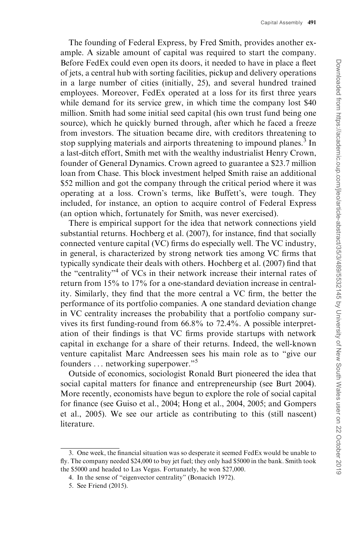The founding of Federal Express, by Fred Smith, provides another example. A sizable amount of capital was required to start the company. Before FedEx could even open its doors, it needed to have in place a fleet of jets, a central hub with sorting facilities, pickup and delivery operations in a large number of cities (initially, 25), and several hundred trained employees. Moreover, FedEx operated at a loss for its first three years while demand for its service grew, in which time the company lost \$40 million. Smith had some initial seed capital (his own trust fund being one source), which he quickly burned through, after which he faced a freeze from investors. The situation became dire, with creditors threatening to stop supplying materials and airports threatening to impound planes.<sup>3</sup> In a last-ditch effort, Smith met with the wealthy industrialist Henry Crown, founder of General Dynamics. Crown agreed to guarantee a \$23.7 million loan from Chase. This block investment helped Smith raise an additional \$52 million and got the company through the critical period where it was operating at a loss. Crown's terms, like Buffett's, were tough. They included, for instance, an option to acquire control of Federal Express (an option which, fortunately for Smith, was never exercised).

There is empirical support for the idea that network connections yield substantial returns. [Hochberg et al. \(2007\),](#page-23-0) for instance, find that socially connected venture capital (VC) firms do especially well. The VC industry, in general, is characterized by strong network ties among VC firms that typically syndicate their deals with others. [Hochberg et al. \(2007\)](#page-23-0) find that the "centrality"<sup>4</sup> of VCs in their network increase their internal rates of return from 15% to 17% for a one-standard deviation increase in centrality. Similarly, they find that the more central a VC firm, the better the performance of its portfolio companies. A one standard deviation change in VC centrality increases the probability that a portfolio company survives its first funding-round from 66.8% to 72.4%. A possible interpretation of their findings is that VC firms provide startups with network capital in exchange for a share of their returns. Indeed, the well-known venture capitalist Marc Andreessen sees his main role as to "give our founders ... networking superpower."<sup>5</sup>

Outside of economics, sociologist Ronald Burt pioneered the idea that social capital matters for finance and entrepreneurship (see [Burt 2004](#page-22-0)). More recently, economists have begun to explore the role of social capital for finance (see [Guiso et al., 2004;](#page-22-0) [Hong et al., 2004, 2005](#page-23-0); and [Gompers](#page-22-0) [et al., 2005\)](#page-22-0). We see our article as contributing to this (still nascent) literature.

<sup>3.</sup> One week, the financial situation was so desperate it seemed FedEx would be unable to fly. The company needed \$24,000 to buy jet fuel; they only had \$5000 in the bank. Smith took the \$5000 and headed to Las Vegas. Fortunately, he won \$27,000.

<sup>4.</sup> In the sense of "eigenvector centrality" ([Bonacich 1972\)](#page-22-0).

<sup>5.</sup> See [Friend \(2015\)](#page-22-0).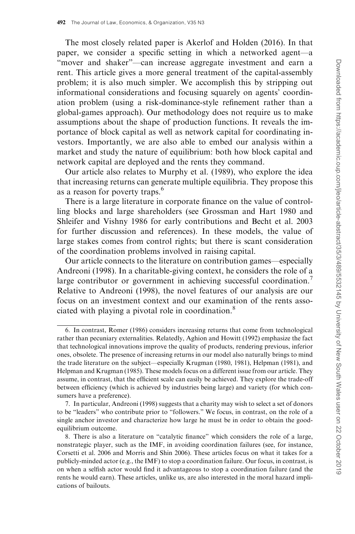The most closely related paper is [Akerlof and Holden \(2016\).](#page-22-0) In that paper, we consider a specific setting in which a networked agent—a "mover and shaker"—can increase aggregate investment and earn a rent. This article gives a more general treatment of the capital-assembly problem; it is also much simpler. We accomplish this by stripping out informational considerations and focusing squarely on agents' coordination problem (using a risk-dominance-style refinement rather than a global-games approach). Our methodology does not require us to make assumptions about the shape of production functions. It reveals the importance of block capital as well as network capital for coordinating investors. Importantly, we are also able to embed our analysis within a market and study the nature of equilibrium: both how block capital and network capital are deployed and the rents they command.

Our article also relates to [Murphy et al. \(1989\)](#page-23-0), who explore the idea that increasing returns can generate multiple equilibria. They propose this as a reason for poverty traps.<sup>6</sup>

There is a large literature in corporate finance on the value of controlling blocks and large shareholders (see [Grossman and Hart 1980](#page-22-0) and [Shleifer and Vishny 1986](#page-23-0) for early contributions and [Becht et al. 2003](#page-22-0) for further discussion and references). In these models, the value of large stakes comes from control rights; but there is scant consideration of the coordination problems involved in raising capital.

Our article connects to the literature on contribution games—especially [Andreoni \(1998\).](#page-22-0) In a charitable-giving context, he considers the role of a large contributor or government in achieving successful coordination.<sup>7</sup> Relative to [Andreoni \(1998\),](#page-22-0) the novel features of our analysis are our focus on an investment context and our examination of the rents associated with playing a pivotal role in coordination.<sup>8</sup>

<sup>6.</sup> In contrast, [Romer \(1986\)](#page-23-0) considers increasing returns that come from technological rather than pecuniary externalities. Relatedly, [Aghion and Howitt \(1992\)](#page-22-0) emphasize the fact that technological innovations improve the quality of products, rendering previous, inferior ones, obsolete. The presence of increasing returns in our model also naturally brings to mind the trade literature on the subject—especially [Krugman \(1980, 1981](#page-23-0)), [Helpman \(1981\),](#page-23-0) and [Helpman and Krugman \(1985\)](#page-23-0). These models focus on a different issue from our article. They assume, in contrast, that the efficient scale can easily be achieved. They explore the trade-off between efficiency (which is achieved by industries being large) and variety (for which consumers have a preference).

<sup>7.</sup> In particular, [Andreoni \(1998\)](#page-22-0) suggests that a charity may wish to select a set of donors to be "leaders" who contribute prior to "followers." We focus, in contrast, on the role of a single anchor investor and characterize how large he must be in order to obtain the goodequilibrium outcome.

<sup>8.</sup> There is also a literature on "catalytic finance" which considers the role of a large, nonstrategic player, such as the IMF, in avoiding coordination failures (see, for instance, [Corsetti et al. 2006](#page-22-0) and [Morris and Shin 2006\)](#page-23-0). These articles focus on what it takes for a publicly-minded actor (e.g., the IMF) to stop a coordination failure. Our focus, in contrast, is on when a selfish actor would find it advantageous to stop a coordination failure (and the rents he would earn). These articles, unlike us, are also interested in the moral hazard implications of bailouts.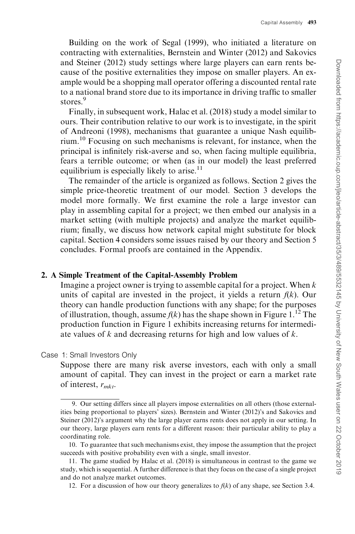Building on the work of [Segal \(1999\),](#page-23-0) who initiated a literature on contracting with externalities, [Bernstein and Winter \(2012\)](#page-22-0) and [Sakovics](#page-23-0) [and Steiner \(2012\)](#page-23-0) study settings where large players can earn rents because of the positive externalities they impose on smaller players. An example would be a shopping mall operator offering a discounted rental rate to a national brand store due to its importance in driving traffic to smaller stores.<sup>9</sup>

Finally, in subsequent work, [Halac et al. \(2018\)](#page-23-0) study a model similar to ours. Their contribution relative to our work is to investigate, in the spirit of [Andreoni \(1998\),](#page-22-0) mechanisms that guarantee a unique Nash equilibrium.<sup>10</sup> Focusing on such mechanisms is relevant, for instance, when the principal is infinitely risk-averse and so, when facing multiple equilibria, fears a terrible outcome; or when (as in our model) the least preferred equilibrium is especially likely to arise.<sup>11</sup>

The remainder of the article is organized as follows. Section 2 gives the simple price-theoretic treatment of our model. Section 3 develops the model more formally. We first examine the role a large investor can play in assembling capital for a project; we then embed our analysis in a market setting (with multiple projects) and analyze the market equilibrium; finally, we discuss how network capital might substitute for block capital. Section 4 considers some issues raised by our theory and Section 5 concludes. Formal proofs are contained in the Appendix.

## 2. A Simple Treatment of the Capital-Assembly Problem

Imagine a project owner is trying to assemble capital for a project. When  $k$ units of capital are invested in the project, it yields a return  $f(k)$ . Our theory can handle production functions with any shape; for the purposes of illustration, though, assume  $f(k)$  has the shape shown in [Figure 1](#page-5-0).<sup>12</sup> The production function in [Figure 1](#page-5-0) exhibits increasing returns for intermediate values of  $k$  and decreasing returns for high and low values of  $k$ .

## Case 1: Small Investors Only

Suppose there are many risk averse investors, each with only a small amount of capital. They can invest in the project or earn a market rate of interest,  $r_{mkt}$ .

<sup>9.</sup> Our setting differs since all players impose externalities on all others (those externalities being proportional to players' sizes). [Bernstein and Winter \(2012\)'](#page-22-0)s and [Sakovics and](#page-23-0) [Steiner \(2012\)'](#page-23-0)s argument why the large player earns rents does not apply in our setting. In our theory, large players earn rents for a different reason: their particular ability to play a coordinating role.

<sup>10.</sup> To guarantee that such mechanisms exist, they impose the assumption that the project succeeds with positive probability even with a single, small investor.

<sup>11.</sup> The game studied by [Halac et al. \(2018\)](#page-23-0) is simultaneous in contrast to the game we study, which is sequential. A further difference is that they focus on the case of a single project and do not analyze market outcomes.

<sup>12.</sup> For a discussion of how our theory generalizes to  $f(k)$  of any shape, see Section 3.4.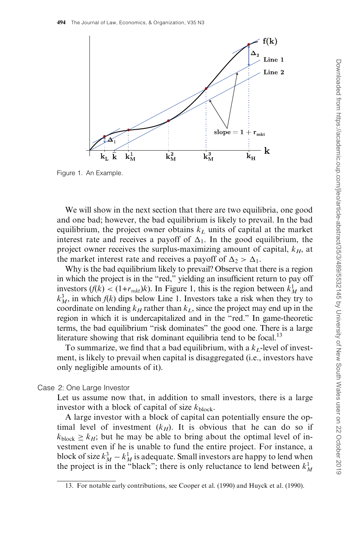<span id="page-5-0"></span>

Figure 1. An Example.

We will show in the next section that there are two equilibria, one good and one bad; however, the bad equilibrium is likely to prevail. In the bad equilibrium, the project owner obtains  $k<sub>L</sub>$  units of capital at the market interest rate and receives a payoff of  $\Delta_1$ . In the good equilibrium, the project owner receives the surplus-maximizing amount of capital,  $k<sub>H</sub>$ , at the market interest rate and receives a payoff of  $\Delta_2 > \Delta_1$ .

Why is the bad equilibrium likely to prevail? Observe that there is a region in which the project is in the "red," yielding an insufficient return to pay off investors ( $f(k) < (1+r_{mkt})k$ ). In Figure 1, this is the region between  $k_M^1$  and  $k_M^3$ , in which  $f(k)$  dips below Line 1. Investors take a risk when they try to coordinate on lending  $k_H$  rather than  $k_L$ , since the project may end up in the region in which it is undercapitalized and in the "red." In game-theoretic terms, the bad equilibrium "risk dominates" the good one. There is a large literature showing that risk dominant equilibria tend to be focal.<sup>13</sup>

To summarize, we find that a bad equilibrium, with a  $k<sub>L</sub>$ -level of investment, is likely to prevail when capital is disaggregated (i.e., investors have only negligible amounts of it).

Case 2: One Large Investor

Let us assume now that, in addition to small investors, there is a large investor with a block of capital of size  $k_{\text{block}}$ .

A large investor with a block of capital can potentially ensure the optimal level of investment  $(k_H)$ . It is obvious that he can do so if  $k_{\text{block}} \geq k_H$ ; but he may be able to bring about the optimal level of investment even if he is unable to fund the entire project. For instance, a block of size  $k_M^3 - k_M^1$  is adequate. Small investors are happy to lend when the project is in the "black"; there is only reluctance to lend between  $k_M^1$ 

<sup>13.</sup> For notable early contributions, see [Cooper et al. \(1990\)](#page-22-0) and [Huyck et al. \(1990\).](#page-23-0)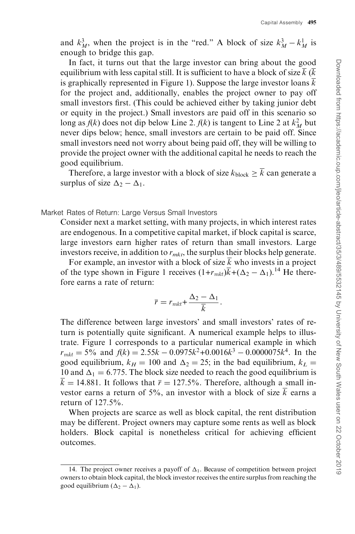and  $k_M^3$ , when the project is in the "red." A block of size  $k_M^3 - k_M^1$  is enough to bridge this gap.

In fact, it turns out that the large investor can bring about the good equilibrium with less capital still. It is sufficient to have a block of size  $\overline{k}$  ( $\overline{k}$ is graphically represented in [Figure 1](#page-5-0)). Suppose the large investor loans  $k$ for the project and, additionally, enables the project owner to pay off small investors first. (This could be achieved either by taking junior debt or equity in the project.) Small investors are paid off in this scenario so long as  $f(k)$  does not dip below Line 2.  $f(k)$  is tangent to Line 2 at  $k_M^2$  but never dips below; hence, small investors are certain to be paid off. Since small investors need not worry about being paid off, they will be willing to provide the project owner with the additional capital he needs to reach the good equilibrium.

Therefore, a large investor with a block of size  $k_{\text{block}} \geq k$  can generate a surplus of size  $\Delta_2 - \Delta_1$ .

Market Rates of Return: Large Versus Small Investors

Consider next a market setting, with many projects, in which interest rates are endogenous. In a competitive capital market, if block capital is scarce, large investors earn higher rates of return than small investors. Large investors receive, in addition to  $r_{mkt}$ , the surplus their blocks help generate.

For example, an investor with a block of size  $k$  who invests in a project of the type shown in [Figure 1](#page-5-0) receives  $(1+r_{mkt})\overline{k}+(\Delta_2-\Delta_1)^{14}$  He therefore earns a rate of return:

$$
\overline{r} = r_{mkt} + \frac{\Delta_2 - \Delta_1}{\overline{k}}.
$$

The difference between large investors' and small investors' rates of return is potentially quite significant. A numerical example helps to illustrate. [Figure 1](#page-5-0) corresponds to a particular numerical example in which  $r_{mkt} = 5\%$  and  $f(k) = 2.55k - 0.0975k^2 + 0.0016k^3 - 0.0000075k^4$ . In the good equilibrium,  $k_H = 100$  and  $\Delta_2 = 25$ ; in the bad equilibrium,  $k_L =$ 10 and  $\Delta_1 = 6.775$ . The block size needed to reach the good equilibrium is  $k = 14.881$ . It follows that  $\bar{r} = 127.5\%$ . Therefore, although a small investor earns a return of 5%, an investor with a block of size  $\overline{k}$  earns a return of 127.5%.

When projects are scarce as well as block capital, the rent distribution may be different. Project owners may capture some rents as well as block holders. Block capital is nonetheless critical for achieving efficient outcomes.

<sup>14.</sup> The project owner receives a payoff of  $\Delta_1$ . Because of competition between project owners to obtain block capital, the block investor receives the entire surplus from reaching the good equilibrium  $(\Delta_2 - \Delta_1)$ .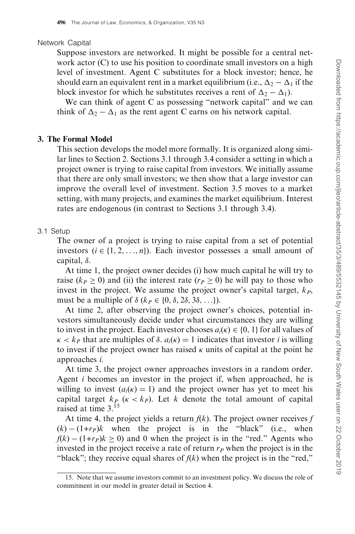#### Network Capital

Suppose investors are networked. It might be possible for a central network actor (C) to use his position to coordinate small investors on a high level of investment. Agent C substitutes for a block investor; hence, he should earn an equivalent rent in a market equilibrium (i.e.,  $\Delta_2 - \Delta_1$  if the block investor for which he substitutes receives a rent of  $\Delta_2 - \Delta_1$ ).

We can think of agent C as possessing "network capital" and we can think of  $\Delta_2 - \Delta_1$  as the rent agent C earns on his network capital.

## 3. The Formal Model

This section develops the model more formally. It is organized along similar lines to Section 2. Sections 3.1 through 3.4 consider a setting in which a project owner is trying to raise capital from investors. We initially assume that there are only small investors; we then show that a large investor can improve the overall level of investment. Section 3.5 moves to a market setting, with many projects, and examines the market equilibrium. Interest rates are endogenous (in contrast to Sections 3.1 through 3.4).

#### 3.1 Setup

The owner of a project is trying to raise capital from a set of potential investors  $(i \in \{1, 2, ..., n\})$ . Each investor possesses a small amount of  $\mathop{\mathrm{capital}}, \delta.$ 

At time 1, the project owner decides (i) how much capital he will try to raise ( $k_P \ge 0$ ) and (ii) the interest rate ( $r_P \ge 0$ ) he will pay to those who invest in the project. We assume the project owner's capital target,  $k<sub>P</sub>$ , must be a multiple of  $\delta$  ( $k_P \in \{0, \delta, 2\delta, 3\delta, \ldots\}$ ).

At time 2, after observing the project owner's choices, potential investors simultaneously decide under what circumstances they are willing to invest in the project. Each investor chooses  $a_i(\kappa) \in \{0, 1\}$  for all values of  $\kappa < k_P$  that are multiples of  $\delta$ .  $a_i(\kappa) = 1$  indicates that investor *i* is willing to invest if the project owner has raised  $\kappa$  units of capital at the point he approaches i.

At time 3, the project owner approaches investors in a random order. Agent i becomes an investor in the project if, when approached, he is willing to invest  $(a_i(\kappa) = 1)$  and the project owner has yet to meet his capital target  $k_P$  ( $\kappa < k_P$ ). Let k denote the total amount of capital raised at time  $3<sup>15</sup>$ 

At time 4, the project yields a return  $f(k)$ . The project owner receives f  $(k) - (1+r<sub>P</sub>)k$  when the project is in the "black" (i.e., when  $f(k) - (1+r<sub>P</sub>)k \ge 0$  and 0 when the project is in the "red." Agents who invested in the project receive a rate of return  $r_p$  when the project is in the "black"; they receive equal shares of  $f(k)$  when the project is in the "red,"

<sup>15.</sup> Note that we assume investors commit to an investment policy. We discuss the role of commitment in our model in greater detail in Section 4.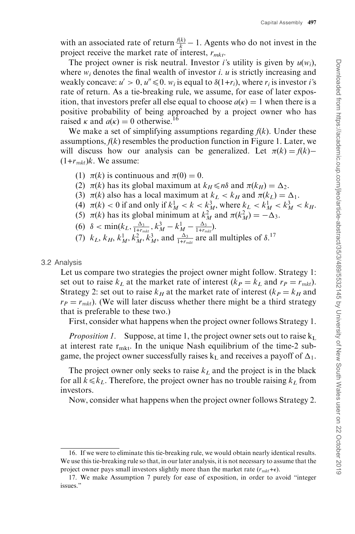with an associated rate of return  $\frac{f(k)}{k} - 1$ . Agents who do not invest in the project receive the market rate of interest,  $r_{mkt}$ .

The project owner is risk neutral. Investor *i*'s utility is given by  $u(w_i)$ , where  $w_i$  denotes the final wealth of investor *i. u* is strictly increasing and weakly concave:  $u' > 0$ ,  $u'' \le 0$ .  $w_i$  is equal to  $\delta(1+r_i)$ , where  $r_i$  is investor *i*'s rate of return. As a tie-breaking rule, we assume, for ease of later exposition, that investors prefer all else equal to choose  $a(\kappa) = 1$  when there is a positive probability of being approached by a project owner who has raised  $\kappa$  and  $a(\kappa) = 0$  otherwise.<sup>16</sup>

We make a set of simplifying assumptions regarding  $f(k)$ . Under these assumptions,  $f(k)$  resembles the production function in [Figure 1.](#page-5-0) Later, we will discuss how our analysis can be generalized. Let  $\pi(k) = f(k)$  $(1+r_{mkt})k$ . We assume:

- (1)  $\pi(k)$  is continuous and  $\pi(0) = 0$ .
- (2)  $\pi(k)$  has its global maximum at  $k_H \leq n\delta$  and  $\pi(k_H) = \Delta_2$ .
- (3)  $\pi(k)$  also has a local maximum at  $k_L < k_H$  and  $\pi(k_L) = \Delta_1$ .
- (4)  $\pi(k) < 0$  if and only if  $k_M^1 < k < k_M^3$ , where  $k_L < k_M^1 < k_M^3 < k_H$ .
- (5)  $\pi(k)$  has its global minimum at  $k_M^2$  and  $\pi(k_M^2) = -\Delta_3$ .
- (6)  $\delta < \min(k_L, \frac{\Delta_3}{1 + r_{mkt}}, k_M^3 k_M^1 \frac{\Delta_3}{1 + r_{mkt}}).$

(7) 
$$
k_L
$$
,  $k_H$ ,  $k_M^1$ ,  $k_M^2$ ,  $k_M^3$ , and  $\frac{\Delta_3}{1+r_{mkt}}$  are all multiples of  $\delta$ .<sup>17</sup>

#### 3.2 Analysis

Let us compare two strategies the project owner might follow. Strategy 1: set out to raise  $k<sub>L</sub>$  at the market rate of interest  $(k<sub>P</sub> = k<sub>L</sub>$  and  $r<sub>P</sub> = r<sub>mkt</sub>$ ). Strategy 2: set out to raise  $k_H$  at the market rate of interest ( $k_P = k_H$  and  $r_P = r_{mkt}$ ). (We will later discuss whether there might be a third strategy that is preferable to these two.)

First, consider what happens when the project owner follows Strategy 1.

*Proposition 1.* Suppose, at time 1, the project owner sets out to raise  $k<sub>L</sub>$ at interest rate  $r_{mkt}$ . In the unique Nash equilibrium of the time-2 subgame, the project owner successfully raises  $k<sub>L</sub>$  and receives a payoff of  $\Delta_1$ .

The project owner only seeks to raise  $k<sub>L</sub>$  and the project is in the black for all  $k \le k_L$ . Therefore, the project owner has no trouble raising  $k_L$  from investors.

Now, consider what happens when the project owner follows Strategy 2.

<sup>16.</sup> If we were to eliminate this tie-breaking rule, we would obtain nearly identical results. We use this tie-breaking rule so that, in our later analysis, it is not necessary to assume that the project owner pays small investors slightly more than the market rate  $(r_{mkt}+\epsilon)$ .

<sup>17.</sup> We make Assumption 7 purely for ease of exposition, in order to avoid "integer issues."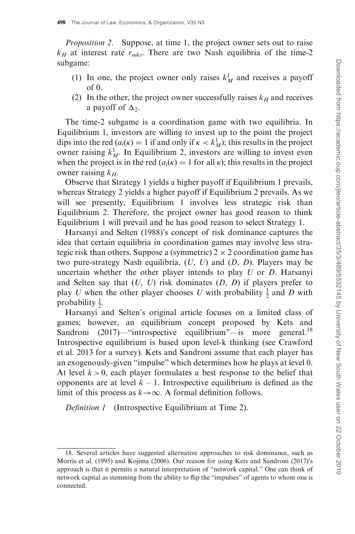Proposition 2. Suppose, at time 1, the project owner sets out to raise  $k_H$  at interest rate  $r_{mkt}$ . There are two Nash equilibria of the time-2 subgame:

- (1) In one, the project owner only raises  $k_M^1$  and receives a payoff  $of  $0$$ .
- (2) In the other, the project owner successfully raises  $k_H$  and receives a payoff of  $\Delta_2$ .

The time-2 subgame is a coordination game with two equilibria. In Equilibrium 1, investors are willing to invest up to the point the project dips into the red  $(a_i(\kappa) = 1$  if and only if  $\kappa < k_M^1$ ); this results in the project owner raising  $k_M^1$ . In Equilibrium 2, investors are willing to invest even when the project is in the red  $(a_i(\kappa) = 1$  for all  $\kappa$ ); this results in the project owner raising  $k_H$ .

Observe that Strategy 1 yields a higher payoff if Equilibrium 1 prevails, whereas Strategy 2 yields a higher payoff if Equilibrium 2 prevails. As we will see presently, Equilibrium 1 involves less strategic risk than Equilibrium 2. Therefore, the project owner has good reason to think Equilibrium 1 will prevail and he has good reason to select Strategy 1.

[Harsanyi and Selten \(1988\)'](#page-23-0)s concept of risk dominance captures the idea that certain equilibria in coordination games may involve less strategic risk than others. Suppose a (symmetric)  $2 \times 2$  coordination game has two pure-strategy Nash equilibria,  $(U, U)$  and  $(D, D)$ . Players may be uncertain whether the other player intends to play  $U$  or  $D$ . Harsanyi and Selten say that  $(U, U)$  risk dominates  $(D, D)$  if players prefer to play U when the other player chooses U with probability  $\frac{1}{2}$  and D with probability  $\frac{1}{2}$ .

Harsanyi and Selten's original article focuses on a limited class of games; however, an equilibrium concept proposed by [Kets and](#page-23-0) Sandroni  $(2017)$ —"introspective equilibrium"—is more general.<sup>18</sup> Introspective equilibrium is based upon level-k thinking (see [Crawford](#page-22-0) [et al. 2013](#page-22-0) for a survey). Kets and Sandroni assume that each player has an exogenously-given "impulse" which determines how he plays at level 0. At level  $k > 0$ , each player formulates a best response to the belief that opponents are at level  $k - 1$ . Introspective equilibrium is defined as the limit of this process as  $k \rightarrow \infty$ . A formal definition follows.

Definition 1 (Introspective Equilibrium at Time 2).

<sup>18.</sup> Several articles have suggested alternative approaches to risk dominance, such as [Morris et al. \(1995\)](#page-23-0) and [Kojima \(2006\)](#page-23-0). Our reason for using [Kets and Sandroni \(2017\)'](#page-23-0)s approach is that it permits a natural interpretation of "network capital." One can think of network capital as stemming from the ability to flip the "impulses" of agents to whom one is connected.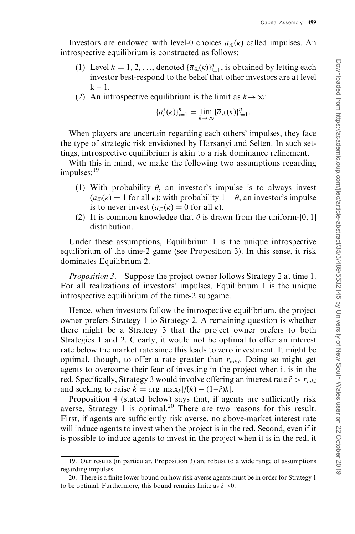Investors are endowed with level-0 choices  $\overline{a}_{i0}(\kappa)$  called impulses. An introspective equilibrium is constructed as follows:

- (1) Level  $k = 1, 2, \ldots$ , denoted  $\{\overline{a}_{ik}(k)\}_{i=1}^n$ , is obtained by letting each investor best-respond to the belief that other investors are at level  $k - 1$ .
- (2) An introspective equilibrium is the limit as  $k \rightarrow \infty$ :

$$
\{a_i^*(\kappa)\}_{i=1}^n = \lim_{k \to \infty} {\overline{a}_{ik}(\kappa)}_{i=1}^n.
$$

When players are uncertain regarding each others' impulses, they face the type of strategic risk envisioned by Harsanyi and Selten. In such settings, introspective equilibrium is akin to a risk dominance refinement.

With this in mind, we make the following two assumptions regarding impulses:<sup>19</sup>

- (1) With probability  $\theta$ , an investor's impulse is to always invest  $(\overline{a}_{i0}(\kappa) = 1$  for all  $\kappa$ ); with probability  $1 - \theta$ , an investor's impulse is to never invest  $(\overline{a}_{i0}(\kappa) = 0$  for all  $\kappa$ ).
- (2) It is common knowledge that  $\theta$  is drawn from the uniform-[0, 1] distribution.

Under these assumptions, Equilibrium 1 is the unique introspective equilibrium of the time-2 game (see Proposition 3). In this sense, it risk dominates Equilibrium 2.

Proposition 3. Suppose the project owner follows Strategy 2 at time 1. For all realizations of investors' impulses, Equilibrium 1 is the unique introspective equilibrium of the time-2 subgame.

Hence, when investors follow the introspective equilibrium, the project owner prefers Strategy 1 to Strategy 2. A remaining question is whether there might be a Strategy 3 that the project owner prefers to both Strategies 1 and 2. Clearly, it would not be optimal to offer an interest rate below the market rate since this leads to zero investment. It might be optimal, though, to offer a rate greater than  $r_{mkt}$ . Doing so might get agents to overcome their fear of investing in the project when it is in the red. Specifically, Strategy 3 would involve offering an interest rate  $\tilde{r} > r_{mkt}$ and seeking to raise  $\tilde{k} = \arg \max_k [f(k) - (1+\tilde{r})k].$ 

Proposition 4 (stated below) says that, if agents are sufficiently risk averse, Strategy 1 is optimal.<sup>20</sup> There are two reasons for this result. First, if agents are sufficiently risk averse, no above-market interest rate will induce agents to invest when the project is in the red. Second, even if it is possible to induce agents to invest in the project when it is in the red, it

<sup>19.</sup> Our results (in particular, Proposition 3) are robust to a wide range of assumptions regarding impulses.

<sup>20.</sup> There is a finite lower bound on how risk averse agents must be in order for Strategy 1 to be optimal. Furthermore, this bound remains finite as  $\delta \rightarrow 0$ .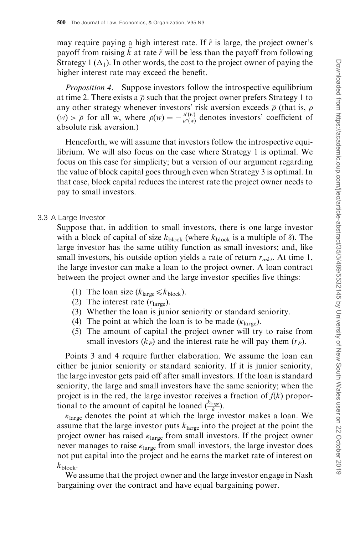may require paying a high interest rate. If  $\tilde{r}$  is large, the project owner's payoff from raising  $\tilde{k}$  at rate  $\tilde{r}$  will be less than the payoff from following Strategy 1  $(\Delta_1)$ . In other words, the cost to the project owner of paying the higher interest rate may exceed the benefit.

Proposition 4. Suppose investors follow the introspective equilibrium at time 2. There exists a  $\bar{\rho}$  such that the project owner prefers Strategy 1 to any other strategy whenever investors' risk aversion exceeds  $\bar{\rho}$  (that is,  $\rho$  $(w) > \overline{\rho}$  for all w, where  $\rho(w) = -\frac{u'(w)}{u''(w)}$  denotes investors' coefficient of absolute risk aversion.)

Henceforth, we will assume that investors follow the introspective equilibrium. We will also focus on the case where Strategy 1 is optimal. We focus on this case for simplicity; but a version of our argument regarding the value of block capital goes through even when Strategy 3 is optimal. In that case, block capital reduces the interest rate the project owner needs to pay to small investors.

3.3 A Large Investor

Suppose that, in addition to small investors, there is one large investor with a block of capital of size  $k_{block}$  (where  $k_{block}$  is a multiple of  $\delta$ ). The large investor has the same utility function as small investors; and, like small investors, his outside option yields a rate of return  $r_{mkt}$ . At time 1, the large investor can make a loan to the project owner. A loan contract between the project owner and the large investor specifies five things:

- (1) The loan size ( $k_{\text{large}} \le k_{\text{block}}$ ).
- (2) The interest rate  $(r_{\text{large}})$ .
- (3) Whether the loan is junior seniority or standard seniority.
- (4) The point at which the loan is to be made  $(k<sub>large</sub>)$ .
- (5) The amount of capital the project owner will try to raise from small investors  $(k_P)$  and the interest rate he will pay them  $(r_P)$ .

Points 3 and 4 require further elaboration. We assume the loan can either be junior seniority or standard seniority. If it is junior seniority, the large investor gets paid off after small investors. If the loan is standard seniority, the large and small investors have the same seniority; when the project is in the red, the large investor receives a fraction of  $f(k)$  proportional to the amount of capital he loaned  $(\frac{k_{\text{large}}}{k})$ .

 $k<sub>large</sub>$  denotes the point at which the large investor makes a loan. We assume that the large investor puts  $k<sub>large</sub>$  into the project at the point the project owner has raised  $\kappa_{\text{large}}$  from small investors. If the project owner never manages to raise  $\kappa_{\text{large}}$  from small investors, the large investor does not put capital into the project and he earns the market rate of interest on  $k_{block}$ .

We assume that the project owner and the large investor engage in Nash bargaining over the contract and have equal bargaining power.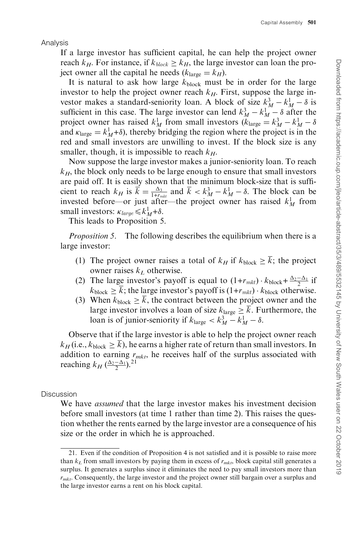Analysis

If a large investor has sufficient capital, he can help the project owner reach  $k_H$ . For instance, if  $k_{block} \geq k_H$ , the large investor can loan the project owner all the capital he needs ( $k_{\text{large}} = k_H$ ).

It is natural to ask how large  $k_{\text{block}}$  must be in order for the large investor to help the project owner reach  $k<sub>H</sub>$ . First, suppose the large investor makes a standard-seniority loan. A block of size  $k_M^3 - k_M^1 - \delta$  is sufficient in this case. The large investor can lend  $k_M^3 - k_M^1 - \delta$  after the project owner has raised  $k_M^1$  from small investors  $(k_{\text{large}} = k_M^3 - k_M^1 - \delta)$ and  $\kappa_{\text{large}} = k_M^1 + \delta$ , thereby bridging the region where the project is in the red and small investors are unwilling to invest. If the block size is any smaller, though, it is impossible to reach  $k<sub>H</sub>$ .

Now suppose the large investor makes a junior-seniority loan. To reach  $k<sub>H</sub>$ , the block only needs to be large enough to ensure that small investors are paid off. It is easily shown that the minimum block-size that is sufficient to reach  $k_H$  is  $\overline{k} = \frac{\Delta_3}{1 + r_{mkt}}$  and  $\overline{k} < k_M^3 - k_M^1 - \delta$ . The block can be invested before—or just after—the project owner has raised  $k_M^1$  from small investors:  $\kappa_{large} \le k_M^1 + \delta$ .

This leads to Proposition 5.

*Proposition 5.* The following describes the equilibrium when there is a large investor:

- (1) The project owner raises a total of  $k_H$  if  $k_{block} \ge k$ ; the project owner raises  $k<sub>L</sub>$  otherwise.
- (2) The large investor's payoff is equal to  $(1+r_{mkt}) \cdot k_{block} + \frac{\Delta_2 \Delta_1}{2}$  if  $k_{\text{block}} \geq k$ ; the large investor's payoff is  $(1+r_{mkt}) \cdot k_{\text{block}}$  otherwise.
- (3) When  $k_{block} \ge k$ , the contract between the project owner and the large investor involves a loan of size  $k_{\text{large}} \geq k$ . Furthermore, the loan is of junior-seniority if  $k_{\text{large}} < k_M^3 - k_M^1 - \delta$ .

Observe that if the large investor is able to help the project owner reach  $k_H$ (i.e.,  $k_{block} \ge k$ ), he earns a higher rate of return than small investors. In addition to earning  $r_{mkt}$ , he receives half of the surplus associated with reaching  $k_H \left( \frac{\Delta_2 - \Delta_1}{2} \right)^{21}$ .

Discussion

We have *assumed* that the large investor makes his investment decision before small investors (at time 1 rather than time 2). This raises the question whether the rents earned by the large investor are a consequence of his size or the order in which he is approached.

<sup>21.</sup> Even if the condition of Proposition 4 is not satisfied and it is possible to raise more than  $k_L$  from small investors by paying them in excess of  $r_{mkt}$ , block capital still generates a surplus. It generates a surplus since it eliminates the need to pay small investors more than  $r_{mkt}$ . Consequently, the large investor and the project owner still bargain over a surplus and the large investor earns a rent on his block capital.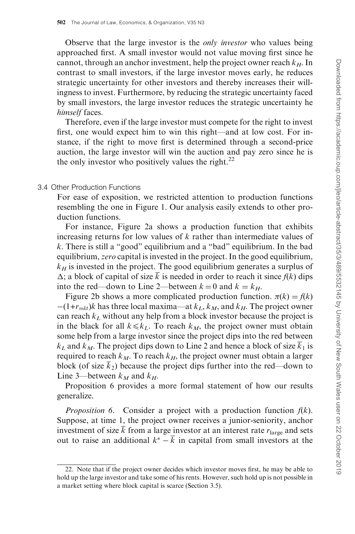Observe that the large investor is the *only investor* who values being approached first. A small investor would not value moving first since he cannot, through an anchor investment, help the project owner reach  $k<sub>H</sub>$ . In contrast to small investors, if the large investor moves early, he reduces strategic uncertainty for other investors and thereby increases their willingness to invest. Furthermore, by reducing the strategic uncertainty faced by small investors, the large investor reduces the strategic uncertainty he himself faces.

Therefore, even if the large investor must compete for the right to invest first, one would expect him to win this right—and at low cost. For instance, if the right to move first is determined through a second-price auction, the large investor will win the auction and pay zero since he is the only investor who positively values the right. $^{22}$ 

## 3.4 Other Production Functions

For ease of exposition, we restricted attention to production functions resembling the one in [Figure 1](#page-5-0). Our analysis easily extends to other production functions.

For instance, [Figure 2a](#page-14-0) shows a production function that exhibits increasing returns for low values of  $k$  rather than intermediate values of  $k$ . There is still a "good" equilibrium and a "bad" equilibrium. In the bad equilibrium, zero capital is invested in the project. In the good equilibrium,  $k_H$  is invested in the project. The good equilibrium generates a surplus of  $\Delta$ ; a block of capital of size k is needed in order to reach it since  $f(k)$  dips into the red—down to Line 2—between  $k = 0$  and  $k = k<sub>H</sub>$ .

[Figure 2b](#page-14-0) shows a more complicated production function.  $\pi(k) = f(k)$  $-(1+r_{mkt})k$  has three local maxima—at  $k_L$ ,  $k_M$ , and  $k_H$ . The project owner can reach  $k<sub>L</sub>$  without any help from a block investor because the project is in the black for all  $k \leq k_L$ . To reach  $k_M$ , the project owner must obtain some help from a large investor since the project dips into the red between  $k_L$  and  $k_M$ . The project dips down to Line 2 and hence a block of size  $k_1$  is required to reach  $k_M$ . To reach  $k_H$ , the project owner must obtain a larger block (of size  $\overline{k}_2$ ) because the project dips further into the red—down to Line 3—between  $k_M$  and  $k_H$ .

Proposition 6 provides a more formal statement of how our results generalize.

*Proposition 6.* Consider a project with a production function  $f(k)$ . Suppose, at time 1, the project owner receives a junior-seniority, anchor investment of size  $\overline{k}$  from a large investor at an interest rate  $r_{\text{large}}$  and sets out to raise an additional  $k^* - \overline{k}$  in capital from small investors at the

<sup>22.</sup> Note that if the project owner decides which investor moves first, he may be able to hold up the large investor and take some of his rents. However, such hold up is not possible in a market setting where block capital is scarce (Section 3.5).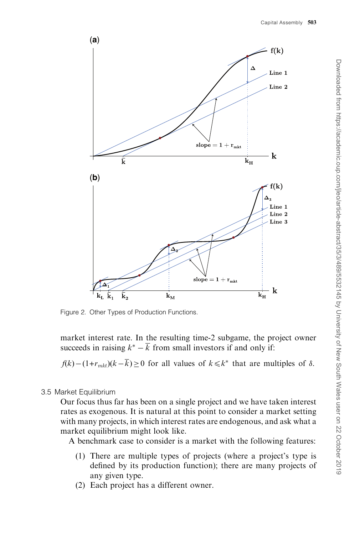<span id="page-14-0"></span>

Figure 2. Other Types of Production Functions.

market interest rate. In the resulting time-2 subgame, the project owner succeeds in raising  $k^* - \overline{k}$  from small investors if and only if:

 $f(k) - (1+r_{mkt})(k-\overline{k}) \ge 0$  for all values of  $k \le k^*$  that are multiples of  $\delta$ .

#### 3.5 Market Equilibrium

Our focus thus far has been on a single project and we have taken interest rates as exogenous. It is natural at this point to consider a market setting with many projects, in which interest rates are endogenous, and ask what a market equilibrium might look like.

A benchmark case to consider is a market with the following features:

- (1) There are multiple types of projects (where a project's type is defined by its production function); there are many projects of any given type.
- (2) Each project has a different owner.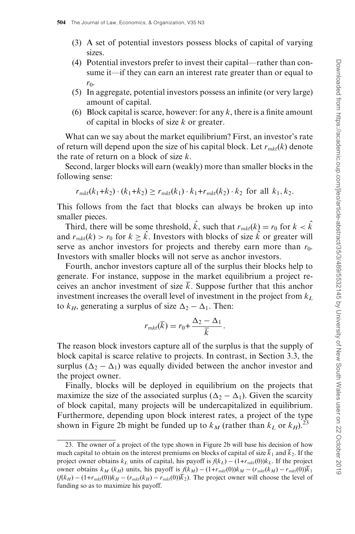- (3) A set of potential investors possess blocks of capital of varying sizes.
- (4) Potential investors prefer to invest their capital—rather than consume it—if they can earn an interest rate greater than or equal to  $r_0$ .
- (5) In aggregate, potential investors possess an infinite (or very large) amount of capital.
- (6) Block capital is scarce, however: for any  $k$ , there is a finite amount of capital in blocks of size  $k$  or greater.

What can we say about the market equilibrium? First, an investor's rate of return will depend upon the size of his capital block. Let  $r_{mkt}(k)$  denote the rate of return on a block of size k.

Second, larger blocks will earn (weakly) more than smaller blocks in the following sense:

$$
r_{mkt}(k_1+k_2)\cdot (k_1+k_2) \ge r_{mkt}(k_1)\cdot k_1 + r_{mkt}(k_2)\cdot k_2 \text{ for all } k_1, k_2.
$$

This follows from the fact that blocks can always be broken up into smaller pieces.

Third, there will be some threshold,  $\hat{k}$ , such that  $r_{mkt}(k) = r_0$  for  $k < \hat{k}$ and  $r_{mkt}(k) > r_0$  for  $k \geq \hat{k}$ . Investors with blocks of size  $\hat{k}$  or greater will serve as anchor investors for projects and thereby earn more than  $r_0$ . Investors with smaller blocks will not serve as anchor investors.

Fourth, anchor investors capture all of the surplus their blocks help to generate. For instance, suppose in the market equilibrium a project receives an anchor investment of size  $k$ . Suppose further that this anchor investment increases the overall level of investment in the project from  $k_L$ to  $k_H$ , generating a surplus of size  $\Delta_2 - \Delta_1$ . Then:

$$
r_{mkt}(\overline{k}) = r_0 + \frac{\Delta_2 - \Delta_1}{\overline{k}}.
$$

The reason block investors capture all of the surplus is that the supply of block capital is scarce relative to projects. In contrast, in Section 3.3, the surplus ( $\Delta_2 - \Delta_1$ ) was equally divided between the anchor investor and the project owner.

Finally, blocks will be deployed in equilibrium on the projects that maximize the size of the associated surplus ( $\Delta_2 - \Delta_1$ ). Given the scarcity of block capital, many projects will be undercapitalized in equilibrium. Furthermore, depending upon block interest rates, a project of the type shown in [Figure 2b](#page-14-0) might be funded up to  $k_M$  (rather than  $k_L$  or  $k_H$ ).<sup>23</sup>

<sup>23.</sup> The owner of a project of the type shown in Figure 2b will base his decision of how much capital to obtain on the interest premiums on blocks of capital of size  $\overline{k}_1$  and  $\overline{k}_2$ . If the project owner obtains  $k<sub>L</sub>$  units of capital, his payoff is  $f(k<sub>L</sub>) - (1+r<sub>mkt</sub>(0))k<sub>L</sub>$ . If the project owner obtains  $k_M$  (k<sub>H</sub>) units, his payoff is  $f(k_M) - (1 + r_{mkt}(0))k_M - (r_{mkt}(k_M) - r_{mkt}(0))k_1$  $(f(k_H) - (1+r_{mkt}(0))k_H - (r_{mkt}(k_H) - r_{mkt}(0))k_2$ ). The project owner will choose the level of funding so as to maximize his payoff.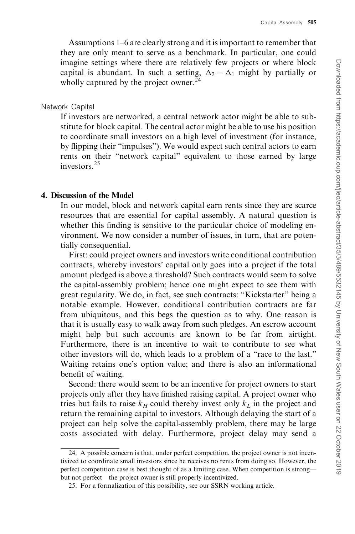Assumptions 1–6 are clearly strong and it is important to remember that they are only meant to serve as a benchmark. In particular, one could imagine settings where there are relatively few projects or where block capital is abundant. In such a setting,  $\Delta_2 - \Delta_1$  might by partially or wholly captured by the project owner.<sup>24</sup>

## Network Capital

If investors are networked, a central network actor might be able to substitute for block capital. The central actor might be able to use his position to coordinate small investors on a high level of investment (for instance, by flipping their "impulses"). We would expect such central actors to earn rents on their "network capital" equivalent to those earned by large investors.<sup>25</sup>

## 4. Discussion of the Model

In our model, block and network capital earn rents since they are scarce resources that are essential for capital assembly. A natural question is whether this finding is sensitive to the particular choice of modeling environment. We now consider a number of issues, in turn, that are potentially consequential.

First: could project owners and investors write conditional contribution contracts, whereby investors' capital only goes into a project if the total amount pledged is above a threshold? Such contracts would seem to solve the capital-assembly problem; hence one might expect to see them with great regularity. We do, in fact, see such contracts: "Kickstarter" being a notable example. However, conditional contribution contracts are far from ubiquitous, and this begs the question as to why. One reason is that it is usually easy to walk away from such pledges. An escrow account might help but such accounts are known to be far from airtight. Furthermore, there is an incentive to wait to contribute to see what other investors will do, which leads to a problem of a "race to the last." Waiting retains one's option value; and there is also an informational benefit of waiting.

Second: there would seem to be an incentive for project owners to start projects only after they have finished raising capital. A project owner who tries but fails to raise  $k_H$  could thereby invest only  $k_L$  in the project and return the remaining capital to investors. Although delaying the start of a project can help solve the capital-assembly problem, there may be large costs associated with delay. Furthermore, project delay may send a

<sup>24.</sup> A possible concern is that, under perfect competition, the project owner is not incentivized to coordinate small investors since he receives no rents from doing so. However, the perfect competition case is best thought of as a limiting case. When competition is strong but not perfect—the project owner is still properly incentivized.

<sup>25.</sup> For a formalization of this possibility, see our SSRN working article.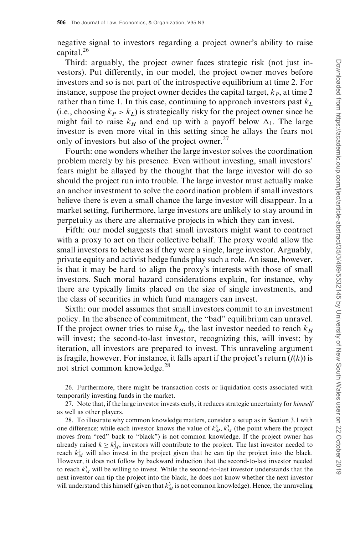negative signal to investors regarding a project owner's ability to raise capital.<sup>26</sup>

Third: arguably, the project owner faces strategic risk (not just investors). Put differently, in our model, the project owner moves before investors and so is not part of the introspective equilibrium at time 2. For instance, suppose the project owner decides the capital target,  $k<sub>P</sub>$ , at time 2 rather than time 1. In this case, continuing to approach investors past  $k<sub>L</sub>$ (i.e., choosing  $k_P > k_L$ ) is strategically risky for the project owner since he might fail to raise  $k_H$  and end up with a payoff below  $\Delta_1$ . The large investor is even more vital in this setting since he allays the fears not only of investors but also of the project owner. $27$ 

Fourth: one wonders whether the large investor solves the coordination problem merely by his presence. Even without investing, small investors' fears might be allayed by the thought that the large investor will do so should the project run into trouble. The large investor must actually make an anchor investment to solve the coordination problem if small investors believe there is even a small chance the large investor will disappear. In a market setting, furthermore, large investors are unlikely to stay around in perpetuity as there are alternative projects in which they can invest.

Fifth: our model suggests that small investors might want to contract with a proxy to act on their collective behalf. The proxy would allow the small investors to behave as if they were a single, large investor. Arguably, private equity and activist hedge funds play such a role. An issue, however, is that it may be hard to align the proxy's interests with those of small investors. Such moral hazard considerations explain, for instance, why there are typically limits placed on the size of single investments, and the class of securities in which fund managers can invest.

Sixth: our model assumes that small investors commit to an investment policy. In the absence of commitment, the "bad" equilibrium can unravel. If the project owner tries to raise  $k_H$ , the last investor needed to reach  $k_H$ will invest; the second-to-last investor, recognizing this, will invest; by iteration, all investors are prepared to invest. This unraveling argument is fragile, however. For instance, it falls apart if the project's return  $(f(k))$  is not strict common knowledge.<sup>28</sup>

<sup>26.</sup> Furthermore, there might be transaction costs or liquidation costs associated with temporarily investing funds in the market.

<sup>27.</sup> Note that, if the large investor invests early, it reduces strategic uncertainty for himself as well as other players.

<sup>28.</sup> To illustrate why common knowledge matters, consider a setup as in Section 3.1 with one difference: while each investor knows the value of  $k_M^3$ ,  $k_M^3$  (the point where the project moves from "red" back to "black") is not common knowledge. If the project owner has already raised  $k \geq k_M^3$ , investors will contribute to the project. The last investor needed to reach  $k_M^3$  will also invest in the project given that he can tip the project into the black. However, it does not follow by backward induction that the second-to-last investor needed to reach  $k_M^3$  will be willing to invest. While the second-to-last investor understands that the next investor can tip the project into the black, he does not know whether the next investor will understand this himself (given that  $k_M^3$  is not common knowledge). Hence, the unraveling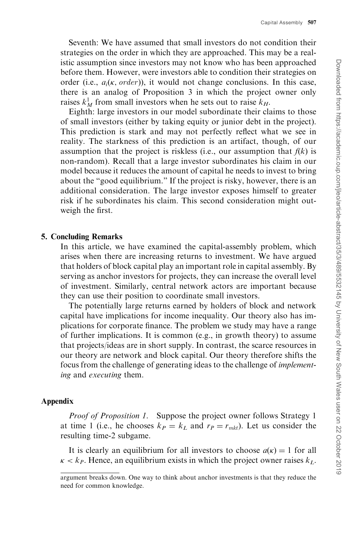Seventh: We have assumed that small investors do not condition their strategies on the order in which they are approached. This may be a realistic assumption since investors may not know who has been approached before them. However, were investors able to condition their strategies on order (i.e.,  $a_i(\kappa, order)$ ), it would not change conclusions. In this case, there is an analog of Proposition 3 in which the project owner only raises  $k_M^1$  from small investors when he sets out to raise  $k_H$ .

Eighth: large investors in our model subordinate their claims to those of small investors (either by taking equity or junior debt in the project). This prediction is stark and may not perfectly reflect what we see in reality. The starkness of this prediction is an artifact, though, of our assumption that the project is riskless (i.e., our assumption that  $f(k)$  is non-random). Recall that a large investor subordinates his claim in our model because it reduces the amount of capital he needs to invest to bring about the "good equilibrium." If the project is risky, however, there is an additional consideration. The large investor exposes himself to greater risk if he subordinates his claim. This second consideration might outweigh the first.

#### 5. Concluding Remarks

In this article, we have examined the capital-assembly problem, which arises when there are increasing returns to investment. We have argued that holders of block capital play an important role in capital assembly. By serving as anchor investors for projects, they can increase the overall level of investment. Similarly, central network actors are important because they can use their position to coordinate small investors.

The potentially large returns earned by holders of block and network capital have implications for income inequality. Our theory also has implications for corporate finance. The problem we study may have a range of further implications. It is common (e.g., in growth theory) to assume that projects/ideas are in short supply. In contrast, the scarce resources in our theory are network and block capital. Our theory therefore shifts the focus from the challenge of generating ideas to the challenge of implementing and executing them.

## Appendix

Proof of Proposition 1. Suppose the project owner follows Strategy 1 at time 1 (i.e., he chooses  $k_P = k_L$  and  $r_P = r_{mkt}$ ). Let us consider the resulting time-2 subgame.

It is clearly an equilibrium for all investors to choose  $a(\kappa) = 1$  for all  $\kappa < k_P$ . Hence, an equilibrium exists in which the project owner raises  $k_L$ .

argument breaks down. One way to think about anchor investments is that they reduce the need for common knowledge.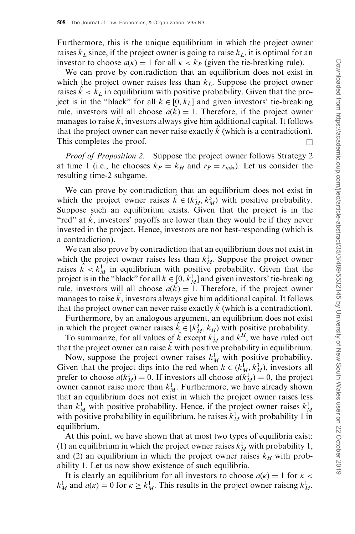Furthermore, this is the unique equilibrium in which the project owner raises  $k<sub>L</sub>$  since, if the project owner is going to raise  $k<sub>L</sub>$ , it is optimal for an investor to choose  $a(\kappa) = 1$  for all  $\kappa < k_P$  (given the tie-breaking rule).

We can prove by contradiction that an equilibrium does not exist in which the project owner raises less than  $k<sub>L</sub>$ . Suppose the project owner raises  $\hat{k} < k_L$  in equilibrium with positive probability. Given that the project is in the "black" for all  $k \in [0, k<sub>L</sub>]$  and given investors' tie-breaking rule, investors will all choose  $a(\hat{k}) = 1$ . Therefore, if the project owner manages to raise  $\hat{k}$ , investors always give him additional capital. It follows that the project owner can never raise exactly  $\hat{k}$  (which is a contradiction). This completes the proof.  $\Box$ 

*Proof of Proposition 2.* Suppose the project owner follows Strategy 2 at time 1 (i.e., he chooses  $k_P = k_H$  and  $r_P = r_{mkt}$ ). Let us consider the resulting time-2 subgame.

We can prove by contradiction that an equilibrium does not exist in which the project owner raises  $\hat{k} \in (k_M^1, k_M^3)$  with positive probability. Suppose such an equilibrium exists. Given that the project is in the "red" at  $\hat{k}$ , investors' payoffs are lower than they would be if they never invested in the project. Hence, investors are not best-responding (which is a contradiction).

We can also prove by contradiction that an equilibrium does not exist in which the project owner raises less than  $k_M^1$ . Suppose the project owner raises  $\hat{k} < k_M^1$  in equilibrium with positive probability. Given that the project is in the "black" for all  $k \in [0, k_M^1]$  and given investors' tie-breaking rule, investors will all choose  $a(\hat{k}) = 1$ . Therefore, if the project owner manages to raise  $\hat{k}$ , investors always give him additional capital. It follows that the project owner can never raise exactly  $\hat{k}$  (which is a contradiction).

Furthermore, by an analogous argument, an equilibrium does not exist in which the project owner raises  $\hat{k}_{\infty} \in [k_M^3, k_H)$  with positive probability.

To summarize, for all values of  $\hat{k}$  except  $k_M^1$  and  $\hat{k}^H$ , we have ruled out that the project owner can raise  $\hat{k}$  with positive probability in equilibrium.

Now, suppose the project owner raises  $k_M^1$  with positive probability. Given that the project dips into the red when  $k \in (k_M^1, k_M^3)$ , investors all prefer to choose  $a(k_M^1) = 0$ . If investors all choose  $a(k_M^1) = 0$ , the project owner cannot raise more than  $k_M^1$ . Furthermore, we have already shown that an equilibrium does not exist in which the project owner raises less than  $k_M^1$  with positive probability. Hence, if the project owner raises  $k_M^1$ with positive probability in equilibrium, he raises  $k_M^1$  with probability 1 in equilibrium.

At this point, we have shown that at most two types of equilibria exist: (1) an equilibrium in which the project owner raises  $k_M^1$  with probability 1, and (2) an equilibrium in which the project owner raises  $k<sub>H</sub>$  with probability 1. Let us now show existence of such equilibria.

It is clearly an equilibrium for all investors to choose  $a(\kappa) = 1$  for  $\kappa <$  $k_M^1$  and  $a(\kappa) = 0$  for  $\kappa \ge k_M^1$ . This results in the project owner raising  $k_M^1$ .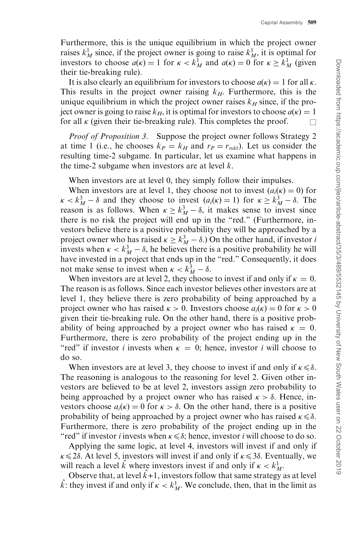Furthermore, this is the unique equilibrium in which the project owner raises  $k_M^1$  since, if the project owner is going to raise  $k_M^1$ , it is optimal for investors to choose  $a(\kappa) = 1$  for  $\kappa < k_M^1$  and  $a(\kappa) = 0$  for  $\kappa \ge k_M^1$  (given their tie-breaking rule).

It is also clearly an equilibrium for investors to choose  $a(\kappa) = 1$  for all  $\kappa$ . This results in the project owner raising  $k<sub>H</sub>$ . Furthermore, this is the unique equilibrium in which the project owner raises  $k_H$  since, if the project owner is going to raise  $k_H$ , it is optimal for investors to choose  $a(\kappa) = 1$ for all  $\kappa$  (given their tie-breaking rule). This completes the proof.

Proof of Proposition 3. Suppose the project owner follows Strategy 2 at time 1 (i.e., he chooses  $k_P = k_H$  and  $r_P = r_{mkt}$ ). Let us consider the resulting time-2 subgame. In particular, let us examine what happens in the time-2 subgame when investors are at level  $k$ .

When investors are at level 0, they simply follow their impulses.

When investors are at level 1, they choose not to invest  $(a_i(\kappa) = 0)$  for  $\kappa < k_M^3 - \delta$  and they choose to invest  $(a_i(\kappa) = 1)$  for  $\kappa \ge k_M^3 - \delta$ . The reason is as follows. When  $\kappa \geq k_M^3 - \delta$ , it makes sense to invest since there is no risk the project will end up in the "red." (Furthermore, investors believe there is a positive probability they will be approached by a project owner who has raised  $\kappa \geq k_M^3 - \delta$ .) On the other hand, if investor *i* invests when  $\kappa < k_M^3 - \delta$ , he believes there is a positive probability he will have invested in a project that ends up in the "red." Consequently, it does not make sense to invest when  $\kappa < k_M^3 - \delta$ .

When investors are at level 2, they choose to invest if and only if  $\kappa = 0$ . The reason is as follows. Since each investor believes other investors are at level 1, they believe there is zero probability of being approached by a project owner who has raised  $\kappa > 0$ . Investors choose  $a_i(\kappa) = 0$  for  $\kappa > 0$ given their tie-breaking rule. On the other hand, there is a positive probability of being approached by a project owner who has raised  $\kappa = 0$ . Furthermore, there is zero probability of the project ending up in the "red" if investor *i* invests when  $\kappa = 0$ ; hence, investor *i* will choose to do so.

When investors are at level 3, they choose to invest if and only if  $\kappa \leq \delta$ . The reasoning is analogous to the reasoning for level 2. Given other investors are believed to be at level 2, investors assign zero probability to being approached by a project owner who has raised  $\kappa > \delta$ . Hence, investors choose  $a_i(\kappa) = 0$  for  $\kappa > \delta$ . On the other hand, there is a positive probability of being approached by a project owner who has raised  $\kappa \leq \delta$ . Furthermore, there is zero probability of the project ending up in the "red" if investor *i* invests when  $\kappa \leq \delta$ ; hence, investor *i* will choose to do so.

Applying the same logic, at level 4, investors will invest if and only if  $\kappa \leq 2\delta$ . At level 5, investors will invest if and only if  $\kappa \leq 3\delta$ . Eventually, we will reach a level  $\hat{k}$  where investors invest if and only if  $\kappa < k_M^1$ .

Observe that, at level  $k+1$ , investors follow that same strategy as at level Observe that, at level  $k+1$ , investors follow that same strategy as at level  $\hat{k}$ : they invest if and only if  $\kappa < k_M^1$ . We conclude, then, that in the limit as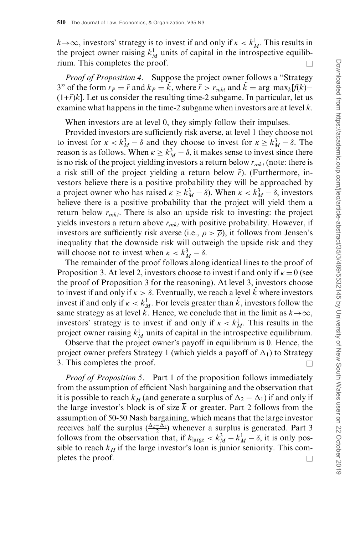$k \rightarrow \infty$ , investors' strategy is to invest if and only if  $\kappa < k_M^1$ . This results in the project owner raising  $k_M^1$  units of capital in the introspective equilibrium. This completes the proof.

Proof of Proposition 4. Suppose the project owner follows a "Strategy 3" of the form  $r_P = \tilde{r}$  and  $k_P = \tilde{k}$ , where  $\tilde{r} > r_{mkt}$  and  $\tilde{k} = \arg \max_k [f(k) (1+\tilde{r})k$ . Let us consider the resulting time-2 subgame. In particular, let us examine what happens in the time-2 subgame when investors are at level  $k$ .

When investors are at level 0, they simply follow their impulses.

Provided investors are sufficiently risk averse, at level 1 they choose not to invest for  $\kappa < k_M^3 - \delta$  and they choose to invest for  $\kappa \ge k_M^3 - \delta$ . The reason is as follows. When  $\kappa \geq k_M^3 - \delta$ , it makes sense to invest since there is no risk of the project yielding investors a return below  $r_{mkt}$  (note: there is a risk still of the project yielding a return below  $\tilde{r}$ ). (Furthermore, investors believe there is a positive probability they will be approached by a project owner who has raised  $\kappa \geq k_M^3 - \delta$ ). When  $\kappa < k_M^3 - \delta$ , investors believe there is a positive probability that the project will yield them a return below  $r_{mkt}$ . There is also an upside risk to investing: the project yields investors a return above  $r_{mkt}$  with positive probability. However, if investors are sufficiently risk averse (i.e.,  $\rho > \overline{\rho}$ ), it follows from Jensen's inequality that the downside risk will outweigh the upside risk and they will choose not to invest when  $\kappa < k_M^3 - \delta$ .

The remainder of the proof follows along identical lines to the proof of Proposition 3. At level 2, investors choose to invest if and only if  $\kappa = 0$  (see the proof of Proposition 3 for the reasoning). At level 3, investors choose to invest if and only if  $\kappa > \delta$ . Eventually, we reach a level  $\hat{k}$  where investors invest if and only if  $\kappa < k_M^1$ . For levels greater than  $\hat{k}$ , investors follow the same strategy as at level  $\hat{k}$ . Hence, we conclude that in the limit as  $k \rightarrow \infty$ , investors' strategy is to invest if and only if  $\kappa < k_M^1$ . This results in the project owner raising  $k_M^1$  units of capital in the introspective equilibrium.

Observe that the project owner's payoff in equilibrium is 0. Hence, the project owner prefers Strategy 1 (which yields a payoff of  $\Delta_1$ ) to Strategy 3. This completes the proof.

Proof of Proposition 5. Part 1 of the proposition follows immediately from the assumption of efficient Nash bargaining and the observation that it is possible to reach  $k_H$  (and generate a surplus of  $\Delta_2 - \Delta_1$ ) if and only if the large investor's block is of size  $\overline{k}$  or greater. Part 2 follows from the assumption of 50-50 Nash bargaining, which means that the large investor receives half the surplus  $\left(\frac{\Delta_2 - \Delta_1}{2}\right)$  whenever a surplus is generated. Part 3 follows from the observation that, if  $k_{\text{large}} < k_M^3 - k_M^1 - \delta$ , it is only possible to reach  $k_H$  if the large investor's loan is junior seniority. This completes the proof.  $\Box$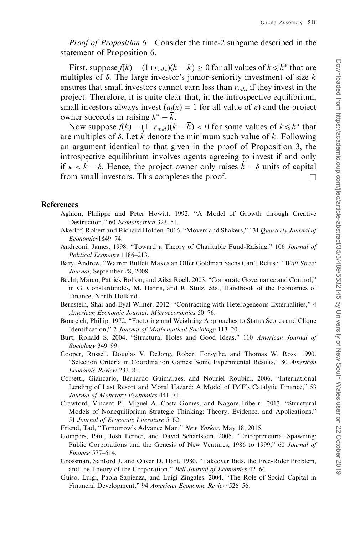<span id="page-22-0"></span>Proof of Proposition 6 Consider the time-2 subgame described in the statement of Proposition 6.

First, suppose  $f(k) - (1+r_{mkt})(k - \overline{k}) \ge 0$  for all values of  $k \le k^*$  that are multiples of  $\delta$ . The large investor's junior-seniority investment of size  $k$ ensures that small investors cannot earn less than  $r_{mkt}$  if they invest in the project. Therefore, it is quite clear that, in the introspective equilibrium, small investors always invest  $(a_i(\kappa) = 1$  for all value of  $\kappa$ ) and the project owner succeeds in raising  $k^* - \overline{k}$ .

Now suppose  $f(k) - (1+r_{mkt})(k - \overline{k}) < 0$  for some values of  $k \leq k^*$  that are multiples of  $\delta$ . Let  $\hat{k}$  denote the minimum such value of k. Following an argument identical to that given in the proof of Proposition 3, the introspective equilibrium involves agents agreeing to invest if and only if  $\kappa < \hat{k} - \delta$ . Hence, the project owner only raises  $\hat{k} - \delta$  units of capital from small investors. This completes the proof.  $\Box$ 

#### References

- Aghion, Philippe and Peter Howitt. 1992. "A Model of Growth through Creative Destruction," 60 Econometrica 323–51.
- Akerlof, Robert and Richard Holden. 2016. "Movers and Shakers," 131 Quarterly Journal of Economics1849–74.
- Andreoni, James. 1998. "Toward a Theory of Charitable Fund-Raising," 106 Journal of Political Economy 1186–213.
- Bary, Andrew, "Warren Buffett Makes an Offer Goldman Sachs Can't Refuse," Wall Street Journal, September 28, 2008.
- Becht, Marco, Patrick Bolton, and Ailsa Röell. 2003. "Corporate Governance and Control," in G. Constantinides, M. Harris, and R. Stulz, eds., Handbook of the Economics of Finance, North-Holland.
- Bernstein, Shai and Eyal Winter. 2012. "Contracting with Heterogeneous Externalities," 4 American Economic Journal: Microeconomics 50–76.
- Bonacich, Phillip. 1972. "Factoring and Weighting Approaches to Status Scores and Clique Identification," 2 Journal of Mathematical Sociology 113–20.
- Burt, Ronald S. 2004. "Structural Holes and Good Ideas," 110 American Journal of Sociology 349–99.
- Cooper, Russell, Douglas V. DeJong, Robert Forsythe, and Thomas W. Ross. 1990. "Selection Criteria in Coordination Games: Some Experimental Results," 80 American Economic Review 233–81.
- Corsetti, Giancarlo, Bernardo Guimaraes, and Nouriel Roubini. 2006. "International Lending of Last Resort and Moral Hazard: A Model of IMF's Catalytic Finance," 53 Journal of Monetary Economics 441–71.
- Crawford, Vincent P., Miguel A. Costa-Gomes, and Nagore Iriberri. 2013. "Structural Models of Nonequilibrium Strategic Thinking: Theory, Evidence, and Applications," 51 Journal of Economic Literature 5–62.
- Friend, Tad, "Tomorrow's Advance Man," New Yorker, May 18, 2015.
- Gompers, Paul, Josh Lerner, and David Scharfstein. 2005. "Entrepreneurial Spawning: Public Corporations and the Genesis of New Ventures, 1986 to 1999," 60 Journal of Finance 577–614.
- Grossman, Sanford J. and Oliver D. Hart. 1980. "Takeover Bids, the Free-Rider Problem, and the Theory of the Corporation," Bell Journal of Economics 42–64.
- Guiso, Luigi, Paola Sapienza, and Luigi Zingales. 2004. "The Role of Social Capital in Financial Development," 94 American Economic Review 526–56.